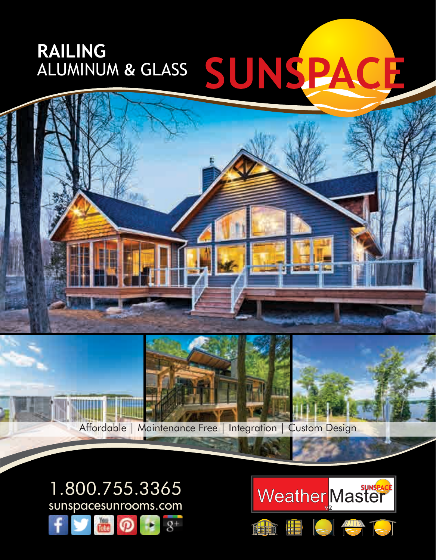## ALUMINUM & GLASS SUNSPACE **RAILING**



1.800.755.3365 sunspacesunrooms.com  $8^+$